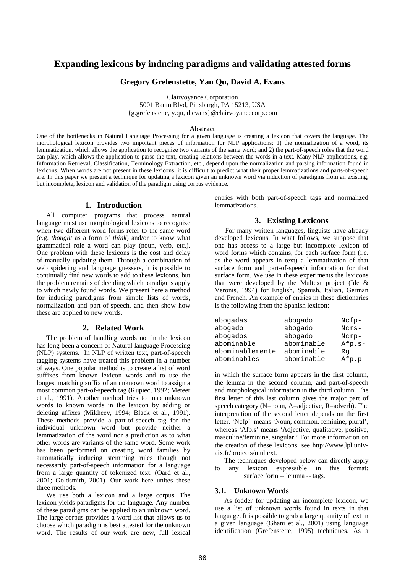## **Expanding lexicons by inducing paradigms and validating attested forms**

#### **Gregory Grefenstette, Yan Qu, David A. Evans**

Clairvoyance Corporation

5001 Baum Blvd, Pittsburgh, PA 15213, USA {g.grefenstette, y.qu, d.evans}@clairvoyancecorp.com

#### **Abstract**

One of the bottlenecks in Natural Language Processing for a given language is creating a lexicon that covers the language. The morphological lexicon provides two important pieces of information for NLP applications: 1) the normalization of a word, its lemmatization, which allows the application to recognize two variants of the same word; and 2) the part-of-speech roles that the word can play, which allows the application to parse the text, creating relations between the words in a text. Many NLP applications, e.g. Information Retrieval, Classification, Terminology Extraction, etc., depend upon the normalization and parsing information found in lexicons. When words are not present in these lexicons, it is difficult to predict what their proper lemmatizations and parts-of-speech are. In this paper we present a technique for updating a lexicon given an unknown word via induction of paradigms from an existing, but incomplete, lexicon and validation of the paradigm using corpus evidence.

#### **1. Introduction**

All computer programs that process natural language must use morphological lexicons to recognize when two different word forms refer to the same word (e.g. *thought* as a form of *think*) and/or to know what grammatical role a word can play (noun, verb, etc.). One problem with these lexicons is the cost and delay of manually updating them. Through a combination of web spidering and language guessers, it is possible to continually find new words to add to these lexicons, but the problem remains of deciding which paradigms apply to which newly found words. We present here a method for inducing paradigms from simple lists of words, normalization and part-of-speech, and then show how these are applied to new words.

#### **2. Related Work**

The problem of handling words not in the lexicon has long been a concern of Natural language Processing (NLP) systems. In NLP of written text, part-of-speech tagging systems have treated this problem in a number of ways. One popular method is to create a list of word suffixes from known lexicon words and to use the longest matching suffix of an unknown word to assign a most common part-of-speech tag (Kupiec, 1992; Meteer et al., 1991). Another method tries to map unknown words to known words in the lexicon by adding or deleting affixes (Mikheev, 1994; Black et al., 1991). These methods provide a part-of-speech tag for the individual unknown word but provide neither a lemmatization of the word nor a prediction as to what other words are variants of the same word. Some work has been performed on creating word families by automatically inducing stemming rules though not necessarily part-of-speech information for a language from a large quantity of tokenized text. (Oard et al., 2001; Goldsmith, 2001). Our work here unites these three methods.

We use both a lexicon and a large corpus. The lexicon yields paradigms for the language. Any number of these paradigms can be applied to an unknown word. The large corpus provides a word list that allows us to choose which paradigm is best attested for the unknown word. The results of our work are new, full lexical entries with both part-of-speech tags and normalized lemmatizations.

#### **3. Existing Lexicons**

For many written languages, linguists have already developed lexicons. In what follows, we suppose that one has access to a large but incomplete lexicon of word forms which contains, for each surface form (i.e. as the word appears in text) a lemmatization of that surface form and part-of-speech information for that surface form. We use in these experiments the lexicons that were developed by the Multext project (Ide & Veronis, 1994) for English, Spanish, Italian, German and French. An example of entries in these dictionaries is the following from the Spanish lexicon:

| abogadas        | abogado    | $Ncfp-$  |
|-----------------|------------|----------|
| abogado         | abogado    | $Ncms-$  |
| abogados        | abogado    | $Ncmp-$  |
| abominable      | abominable | $Afp.s-$ |
| abominablemente | abominable | Ra       |
| abominables     | abominable | $Afp.p-$ |

in which the surface form appears in the first column, the lemma in the second column, and part-of-speech and morphological information in the third column. The first letter of this last column gives the major part of speech category (N=noun, A=adjective, R=adverb). The interpretation of the second letter depends on the first letter. 'Ncfp' means 'Noun, common, feminine, plural', whereas 'Afp.s' means 'Adjective, qualitative, positive, masculine/feminine, singular.' For more information on the creation of these lexicons, see http://www.lpl.univaix.fr/projects/multext.

The techniques developed below can directly apply<br>any lexicon expressible in this format: to any lexicon expressible in this format: surface form -- lemma -- tags.

#### **3.1. Unknown Words**

As fodder for updating an incomplete lexicon, we use a list of unknown words found in texts in that language. It is possible to grab a large quantity of text in a given language (Ghani et al., 2001) using language identification (Grefenstette, 1995) techniques. As a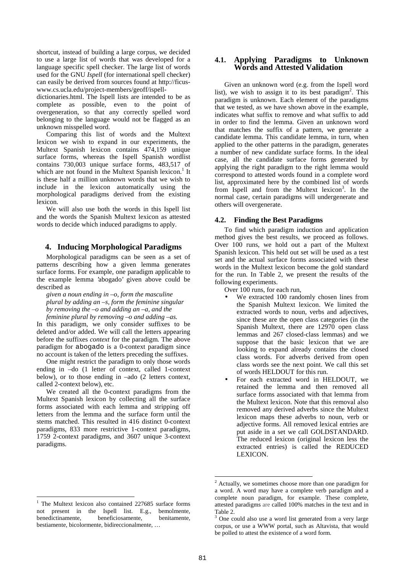shortcut, instead of building a large corpus, we decided to use a large list of words that was developed for a language specific spell checker. The large list of words used for the GNU *Ispell* (for international spell checker) can easily be derived from sources found at http://ficuswww.cs.ucla.edu/project-members/geoff/ispell-

dictionaries.html. The Ispell lists are intended to be as complete as possible, even to the point of overgeneration, so that any correctly spelled word belonging to the language would not be flagged as an unknown misspelled word.

Comparing this list of words and the Multext lexicon we wish to expand in our experiments, the Multext Spanish lexicon contains 474,159 unique surface forms, whereas the Ispell Spanish wordlist contains 730,003 unique surface forms, 483,517 of which are not found in the Multext Spanish lexicon.<sup>1</sup> It is these half a million unknown words that we wish to include in the lexicon automatically using the morphological paradigms derived from the existing lexicon.

We will also use both the words in this Ispell list and the words the Spanish Multext lexicon as attested words to decide which induced paradigms to apply.

#### **4. Inducing Morphological Paradigms**

Morphological paradigms can be seen as a set of patterns describing how a given lemma generates surface forms. For example, one paradigm applicable to the example lemma 'abogado' given above could be described as

*given a noun ending in –o, form the masculine plural by adding an –s, form the feminine singular by removing the –o and adding an –a, and the feminine plural by removing –o and adding –as.*

In this paradigm, we only consider suffixes to be deleted and/or added. We will call the letters appearing before the suffixes *context* for the paradigm. The above paradigm for abogado is a 0-context paradigm since no account is taken of the letters preceding the suffixes.

One might restrict the paradigm to only those words ending in –do (1 letter of context, called 1-context below), or to those ending in –ado (2 letters context, called 2-context below), etc.

We created all the 0-context paradigms from the Multext Spanish lexicon by collecting all the surface forms associated with each lemma and stripping off letters from the lemma and the surface form until the stems matched. This resulted in 416 distinct 0-context paradigms, 833 more restrictive 1-context paradigms, 1759 2-context paradigms, and 3607 unique 3-context paradigms.

#### **4.1. Applying Paradigms to Unknown Words and Attested Validation**

Given an unknown word (e.g. from the Ispell word list), we wish to assign it to its best paradigm<sup>2</sup>. This paradigm is unknown. Each element of the paradigms that we tested, as we have shown above in the example, indicates what suffix to remove and what suffix to add in order to find the lemma. Given an unknown word that matches the suffix of a pattern, we generate a candidate lemma. This candidate lemma, in turn, when applied to the other patterns in the paradigm, generates a number of new candidate surface forms. In the ideal case, all the candidate surface forms generated by applying the right paradigm to the right lemma would correspond to attested words found in a complete word list, approximated here by the combined list of words from Ispell and from the Multext lexicon<sup>3</sup>. In the normal case, certain paradigms will undergenerate and others will overgenerate.

#### **4.2. Finding the Best Paradigms**

To find which paradigm induction and application method gives the best results, we proceed as follows. Over 100 runs, we hold out a part of the Multext Spanish lexicon. This held out set will be used as a test set and the actual surface forms associated with these words in the Multext lexicon become the gold standard for the run. In Table 2, we present the results of the following experiments.

Over 100 runs, for each run,

- We extracted 100 randomly chosen lines from the Spanish Multext lexicon. We limited the extracted words to noun, verbs and adjectives, since these are the open class categories (in the Spanish Multext, there are 12970 open class lemmas and 267 closed-class lemmas) and we suppose that the basic lexicon that we are looking to expand already contains the closed class words. For adverbs derived from open class words see the next point. We call this set of words HELDOUT for this run.
- For each extracted word in HELDOUT, we retained the lemma and then removed all surface forms associated with that lemma from the Multext lexicon. Note that this removal also removed any derived adverbs since the Multext lexicon maps these adverbs to noun, verb or adjective forms. All removed lexical entries are put aside in a set we call GOLDSTANDARD. The reduced lexicon (original lexicon less the extracted entries) is called the REDUCED LEXICON.

 $\overline{a}$ 

 $\overline{a}$ 

 $2$  Actually, we sometimes choose more than one paradigm for a word. A word may have a complete verb paradigm and a complete noun paradigm, for example. These complete, attested paradigms are called 100% matches in the text and in Table 2.

<sup>&</sup>lt;sup>3</sup> One could also use a word list generated from a very large corpus, or use a WWW portal, such as Altavista, that would be polled to attest the existence of a word form.

 $1$  The Multext lexicon also contained 227685 surface forms not present in the Ispell list. E.g., bemolmente,<br>benedictinamente. beneficiosamente. benitamente. beneficiosamente. bestiamente, bicolormente, bidireccionalmente, …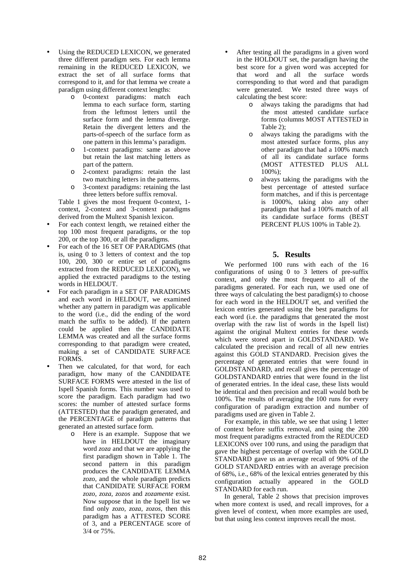- Using the REDUCED LEXICON, we generated three different paradigm sets. For each lemma remaining in the REDUCED LEXICON, we extract the set of all surface forms that correspond to it, and for that lemma we create a paradigm using different context lengths:
	- o 0-context paradigms: match each lemma to each surface form, starting from the leftmost letters until the surface form and the lemma diverge. Retain the divergent letters and the parts-of-speech of the surface form as one pattern in this lemma's paradigm.
	- o 1-context paradigms: same as above but retain the last matching letters as part of the pattern.
	- o 2-context paradigms: retain the last two matching letters in the patterns.
	- o 3-context paradigms: retaining the last three letters before suffix removal.

Table 1 gives the most frequent 0-context, 1 context, 2-context and 3-context paradigms derived from the Multext Spanish lexicon.

- For each context length, we retained either the top 100 most frequent paradigms, or the top 200, or the top 300, or all the paradigms.
- For each of the 16 SET OF PARADIGMS (that is, using 0 to 3 letters of context and the top 100, 200, 300 or entire set of paradigms extracted from the REDUCED LEXICON), we applied the extracted paradigms to the testing words in HELDOUT.
- For each paradigm in a SET OF PARADIGMS and each word in HELDOUT, we examined whether any pattern in paradigm was applicable to the word (i.e., did the ending of the word match the suffix to be added). If the pattern could be applied then the CANDIDATE LEMMA was created and all the surface forms corresponding to that paradigm were created, making a set of CANDIDATE SURFACE FORMS.
- Then we calculated, for that word, for each paradigm, how many of the CANDIDATE SURFACE FORMS were attested in the list of Ispell Spanish forms. This number was used to score the paradigm. Each paradigm had two scores: the number of attested surface forms (ATTESTED) that the paradigm generated, and the PERCENTAGE of paradigm patterns that generated an attested surface form.
	- o Here is an example. Suppose that we have in HELDOUT the imaginary word *zoza* and that we are applying the first paradigm shown in Table 1. The second pattern in this paradigm produces the CANDIDATE LEMMA *zozo*, and the whole paradigm predicts that CANDIDATE SURFACE FORM *zozo, zoza, zozos* and *zozamente* exist*.* Now suppose that in the Ispell list we find only *zozo, zoza, zozos*, then this paradigm has a ATTESTED SCORE of 3, and a PERCENTAGE score of 3/4 or 75%.
- After testing all the paradigms in a given word in the HOLDOUT set, the paradigm having the best score for a given word was accepted for that word and all the surface words corresponding to that word and that paradigm were generated. We tested three ways of calculating the best score:
	- o always taking the paradigms that had the most attested candidate surface forms (columns MOST ATTESTED in Table 2);
	- o always taking the paradigms with the most attested surface forms, plus any other paradigm that had a 100% match of all its candidate surface forms (MOST ATTESTED PLUS ALL 100%);
	- always taking the paradigms with the best percentage of attested surface form matches, and if this is percentage is 1000%, taking also any other paradigm that had a 100% match of all its candidate surface forms (BEST PERCENT PLUS 100% in Table 2).

### **5. Results**

We performed 100 runs with each of the 16 configurations of using 0 to 3 letters of pre-suffix context, and only the most frequent to all of the paradigms generated. For each run, we used one of three ways of calculating the best paradigm(s) to choose for each word in the HELDOUT set, and verified the lexicon entries generated using the best paradigms for each word (i.e. the paradigms that generated the most overlap with the raw list of words in the Ispell list) against the original Multext entries for these words which were stored apart in GOLDSTANDARD. We calculated the precision and recall of all new entries against this GOLD STANDARD. Precision gives the percentage of generated entries that were found in GOLDSTANDARD, and recall gives the percentage of GOLDSTANDARD entries that were found in the list of generated entries. In the ideal case, these lists would be identical and then precision and recall would both be 100%. The results of averaging the 100 runs for every configuration of paradigm extraction and number of paradigms used are given in Table 2.

For example, in this table, we see that using 1 letter of context before suffix removal, and using the 200 most frequent paradigms extracted from the REDUCED LEXICONS over 100 runs, and using the paradigm that gave the highest percentage of overlap with the GOLD STANDARD gave us an average recall of 90% of the GOLD STANDARD entries with an average precision of 68%, i.e., 68% of the lexical entries generated by this configuration actually appeared in the GOLD STANDARD for each run.

In general, Table 2 shows that precision improves when more context is used, and recall improves, for a given level of context, when more examples are used, but that using less context improves recall the most.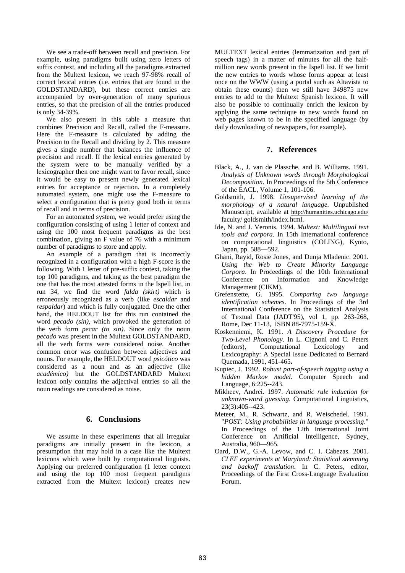We see a trade-off between recall and precision. For example, using paradigms built using zero letters of suffix context, and including all the paradigms extracted from the Multext lexicon, we reach 97-98% recall of correct lexical entries (i.e. entries that are found in the GOLDSTANDARD), but these correct entries are accompanied by over-generation of many spurious entries, so that the precision of all the entries produced is only 34-39%.

We also present in this table a measure that combines Precision and Recall, called the F-measure. Here the F-measure is calculated by adding the Precision to the Recall and dividing by 2. This measure gives a single number that balances the influence of precision and recall. If the lexical entries generated by the system were to be manually verified by a lexicographer then one might want to favor recall, since it would be easy to present newly generated lexical entries for acceptance or rejection. In a completely automated system, one might use the F-measure to select a configuration that is pretty good both in terms of recall and in terms of precision.

For an automated system, we would prefer using the configuration consisting of using 1 letter of context and using the 100 most frequent paradigms as the best combination, giving an F value of 76 with a minimum number of paradigms to store and apply.

An example of a paradigm that is incorrectly recognized in a configuration with a high F-score is the following. With 1 letter of pre-suffix context, taking the top 100 paradigms, and taking as the best paradigm the one that has the most attested forms in the Ispell list, in run 34, we find the word *falda (skirt)* which is erroneously recognized as a verb (like *escaldar* and *respaldar*) and which is fully conjugated. One the other hand, the HELDOUT list for this run contained the word *pecado (sin)*, which provoked the generation of the verb form *pecar (to sin)*. Since only the noun *pecado* was present in the Multext GOLDSTANDARD, all the verb forms were considered noise. Another common error was confusion between adjectives and nouns. For example, the HELDOUT word *psicótico* was considered as a noun and as an adjective (like *académico)* but the GOLDSTANDARD Multext lexicon only contains the adjectival entries so all the noun readings are considered as noise.

#### **6. Conclusions**

We assume in these experiments that all irregular paradigms are initially present in the lexicon, a presumption that may hold in a case like the Multext lexicons which were built by computational linguists. Applying our preferred configuration (1 letter context and using the top 100 most frequent paradigms extracted from the Multext lexicon) creates new

MULTEXT lexical entries (lemmatization and part of speech tags) in a matter of minutes for all the halfmillion new words present in the Ispell list. If we limit the new entries to words whose forms appear at least once on the WWW (using a portal such as Altavista to obtain these counts) then we still have 349875 new entries to add to the Multext Spanish lexicon. It will also be possible to continually enrich the lexicon by applying the same technique to new words found on web pages known to be in the specified language (by daily downloading of newspapers, for example).

#### **7. References**

- Black, A., J. van de Plassche, and B. Williams. 1991. *Analysis of Unknown words through Morphological Decomposition*. In Proceedings of the 5th Conference of the EACL, Volume 1, 101-106.
- Goldsmith, J. 1998. *Unsupervised learning of the morphology of a natural language*. Unpublished Manuscript, available at http://humanities.uchicago.edu/ faculty/ goldsmith/index.html.
- Ide, N. and J. Veronis. 1994. *Multext: Multilingual text tools and corpora*. In 15th International conference on computational linguistics (COLING), Kyoto, Japan, pp. 588—592.
- Ghani, Rayid, Rosie Jones, and Dunja Mladenic. 2001. *Using the Web to Create Minority Language Corpora*. In Proceedings of the 10th International Conference on Information and Knowledge Management (CIKM).
- Grefenstette, G. 1995. *Comparing two language identification schemes*. In Proceedings of the 3rd International Conference on the Statistical Analysis of Textual Data (JADT'95), vol 1, pp. 263-268, Rome, Dec 11-13, ISBN 88-7975-159-X.
- Koskenniemi, K. 1991. *A Discovery Procedure for Two-Level Phonology*. In L. Cignoni and C. Peters (editors), Computational Lexicology and Lexicography: A Special Issue Dedicated to Bernard Quemada, 1991, 451-465**.**
- Kupiec, J. 1992. *Robust part-of-speech tagging using a hidden Markov model*. Computer Speech and Language, 6:225--243.
- Mikheev, Andrei. 1997. *Automatic rule induction for unknown-word guessing*. Computational Linguistics, 23(3):405--423.
- Meteer, M., R. Schwartz, and R. Weischedel. 1991. "*POST: Using probabilities in language processing*." In Proceedings of the 12th International Joint Conference on Artificial Intelligence, Sydney, Australia, 960—965.
- Oard, D.W., G.-A. Levow, and C. I. Cabezas. 2001. *CLEF experiments at Maryland: Statistical stemming and backoff translation*. In C. Peters, editor, Proceedings of the First Cross-Language Evaluation Forum.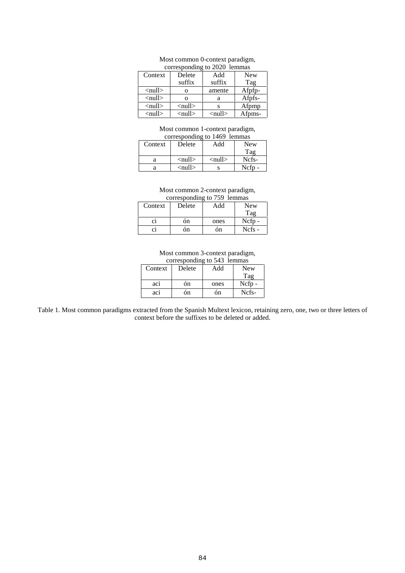| corresponding to zozo reminas |                               |                               |            |  |  |  |
|-------------------------------|-------------------------------|-------------------------------|------------|--|--|--|
| Context                       | Delete                        | Add                           | <b>New</b> |  |  |  |
|                               | suffix                        | suffix                        | Tag        |  |  |  |
| $\langle \text{null} \rangle$ | O                             | amente                        | Afpfp-     |  |  |  |
| $\langle \text{null} \rangle$ | Ω                             | a                             | Afpfs-     |  |  |  |
| $\langle \text{null} \rangle$ | $\langle \text{null} \rangle$ | s                             | Afpmp      |  |  |  |
| $\langle \text{null} \rangle$ | $\langle \text{null} \rangle$ | $\langle \text{null} \rangle$ | Afpms-     |  |  |  |

## Most common 0-context paradigm,<br>corresponding to 2020, Jemmas

### Most common 1-context paradigm,

| corresponding to 1469 lemmas |                               |                          |       |  |  |  |
|------------------------------|-------------------------------|--------------------------|-------|--|--|--|
| Context                      | Delete                        | Add                      | New   |  |  |  |
|                              |                               |                          | Tag   |  |  |  |
| а                            | $\langle \text{null} \rangle$ | $\langle$ null $\rangle$ | Ncfs- |  |  |  |
|                              | <null></null>                 |                          | Ncfp- |  |  |  |

# Most common 2-context paradigm,<br>corresponding to 759 lemmas

| corresponding to (39 feminas |        |      |            |  |  |
|------------------------------|--------|------|------------|--|--|
| Context                      | Delete | Add  | <b>New</b> |  |  |
|                              |        |      | Tag        |  |  |
| C1                           | ón     | ones | Ncfp-      |  |  |
| C1                           | ón     | ón   | Ncfs -     |  |  |

## Most common 3-context paradigm,<br>corresponding to 543 lemmas

| corresponding to $343$ reminds |        |      |          |  |  |  |
|--------------------------------|--------|------|----------|--|--|--|
| Context                        | Delete |      | New      |  |  |  |
|                                |        |      | Tag      |  |  |  |
| aci                            | ón     | ones | $Ncfp -$ |  |  |  |
| ac1                            | ón     | ón   | Ncfs-    |  |  |  |

Table 1. Most common paradigms extracted from the Spanish Multext lexicon, retaining zero, one, two or three letters of context before the suffixes to be deleted or added.